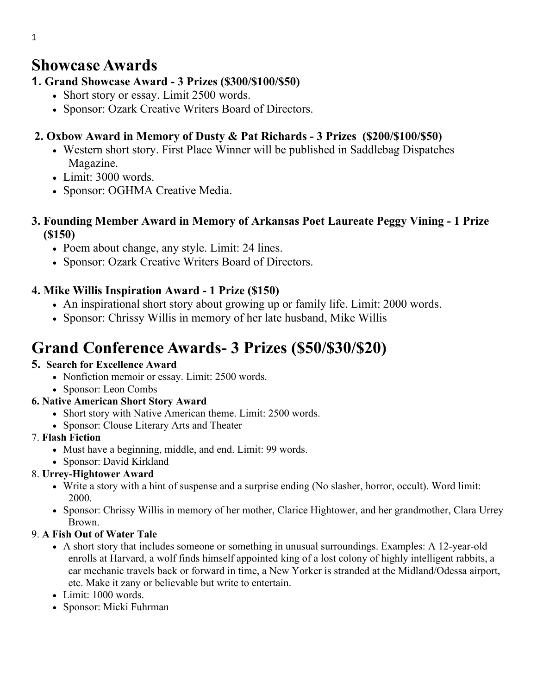## **Showcase Awards**

## **1. Grand Showcase Award - 3 Prizes (\$300/\$100/\$50)**

- Short story or essay. Limit 2500 words.
- Sponsor: Ozark Creative Writers Board of Directors.

## **2. Oxbow Award in Memory of Dusty & Pat Richards - 3 Prizes (\$200/\$100/\$50)**

- Western short story. First Place Winner will be published in Saddlebag Dispatches Magazine.
- Limit: 3000 words.
- Sponsor: OGHMA Creative Media.

## **3. Founding Member Award in Memory of Arkansas Poet Laureate Peggy Vining - 1 Prize (\$150)**

- Poem about change, any style. Limit: 24 lines.
- Sponsor: Ozark Creative Writers Board of Directors.

## **4. Mike Willis Inspiration Award - 1 Prize (\$150)**

- An inspirational short story about growing up or family life. Limit: 2000 words.
- Sponsor: Chrissy Willis in memory of her late husband, Mike Willis

# **Grand Conference Awards- 3 Prizes (\$50/\$30/\$20)**

## **5. Search for Excellence Award**

- Nonfiction memoir or essay. Limit: 2500 words.
- Sponsor: Leon Combs

## **6. Native American Short Story Award**

- Short story with Native American theme. Limit: 2500 words.
- Sponsor: Clouse Literary Arts and Theater

## 7. **Flash Fiction**

- Must have a beginning, middle, and end. Limit: 99 words.
- Sponsor: David Kirkland

## 8. **Urrey-Hightower Award**

- Write a story with a hint of suspense and a surprise ending (No slasher, horror, occult). Word limit: 2000.
- Sponsor: Chrissy Willis in memory of her mother, Clarice Hightower, and her grandmother, Clara Urrey Brown.

## 9. **A Fish Out of Water Tale**

- A short story that includes someone or something in unusual surroundings. Examples: A 12-year-old enrolls at Harvard, a wolf finds himself appointed king of a lost colony of highly intelligent rabbits, a car mechanic travels back or forward in time, a New Yorker is stranded at the Midland/Odessa airport, etc. Make it zany or believable but write to entertain.
- Limit: 1000 words.
- Sponsor: Micki Fuhrman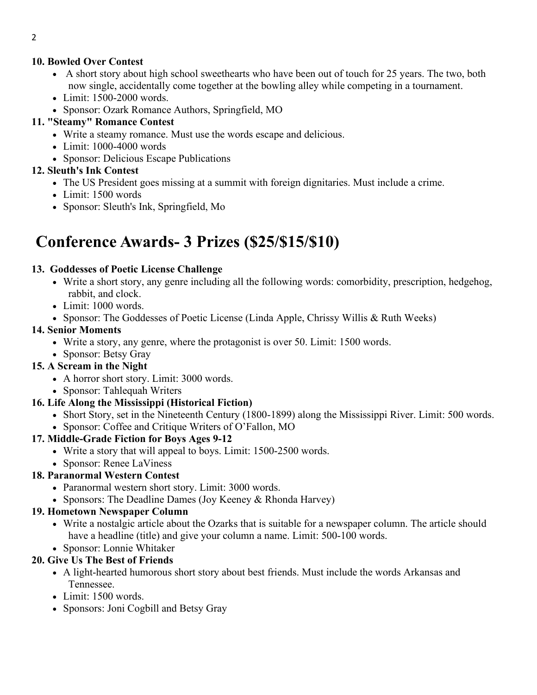#### **10. Bowled Over Contest**

- A short story about high school sweethearts who have been out of touch for 25 years. The two, both now single, accidentally come together at the bowling alley while competing in a tournament.
- Limit: 1500-2000 words.
- Sponsor: Ozark Romance Authors, Springfield, MO

#### **11. "Steamy" Romance Contest**

- Write a steamy romance. Must use the words escape and delicious.
- Limit: 1000-4000 words
- Sponsor: Delicious Escape Publications

## **12. Sleuth's Ink Contest**

- The US President goes missing at a summit with foreign dignitaries. Must include a crime.
- Limit: 1500 words
- Sponsor: Sleuth's Ink, Springfield, Mo

# **Conference Awards- 3 Prizes (\$25/\$15/\$10)**

#### **13. Goddesses of Poetic License Challenge**

- Write a short story, any genre including all the following words: comorbidity, prescription, hedgehog, rabbit, and clock.
- Limit: 1000 words.
- Sponsor: The Goddesses of Poetic License (Linda Apple, Chrissy Willis & Ruth Weeks)

#### **14. Senior Moments**

- Write a story, any genre, where the protagonist is over 50. Limit: 1500 words.
- Sponsor: Betsy Gray

## **15. A Scream in the Night**

- A horror short story. Limit: 3000 words.
- Sponsor: Tahlequah Writers

## **16. Life Along the Mississippi (Historical Fiction)**

- Short Story, set in the Nineteenth Century (1800-1899) along the Mississippi River. Limit: 500 words.
- Sponsor: Coffee and Critique Writers of O'Fallon, MO

## **17. Middle-Grade Fiction for Boys Ages 9-12**

- Write a story that will appeal to boys. Limit: 1500-2500 words.
- Sponsor: Renee LaViness

## **18. Paranormal Western Contest**

- Paranormal western short story. Limit: 3000 words.
- Sponsors: The Deadline Dames (Joy Keeney & Rhonda Harvey)

## **19. Hometown Newspaper Column**

- Write a nostalgic article about the Ozarks that is suitable for a newspaper column. The article should have a headline (title) and give your column a name. Limit: 500-100 words.
- Sponsor: Lonnie Whitaker

## **20. Give Us The Best of Friends**

- A light-hearted humorous short story about best friends. Must include the words Arkansas and Tennessee.
- Limit: 1500 words.
- Sponsors: Joni Cogbill and Betsy Gray